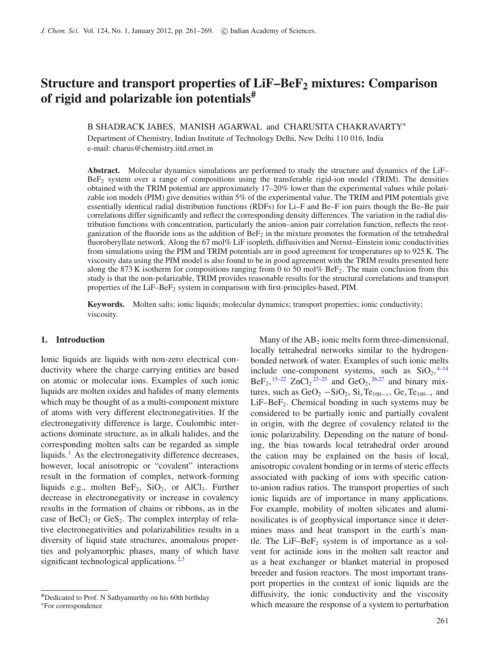# **Structure and transport properties of LiF–BeF2 mixtures: Comparison of rigid and polarizable ion potentials#**

B SHADRACK JABES, MANISH AGARWAL and CHARUSITA CHAKRAVARTY<sup>\*</sup>

Department of Chemistry, Indian Institute of Technology Delhi, New Delhi 110 016, India e-mail: charus@chemistry.iitd.ernet.in

**Abstract.** Molecular dynamics simulations are performed to study the structure and dynamics of the LiF– BeF2 system over a range of compositions using the transferable rigid-ion model (TRIM). The densities obtained with the TRIM potential are approximately 17–20% lower than the experimental values while polarizable ion models (PIM) give densities within 5% of the experimental value. The TRIM and PIM potentials give essentially identical radial distribution functions (RDFs) for Li–F and Be–F ion pairs though the Be–Be pair correlations differ significantly and reflect the corresponding density differences. The variation in the radial distribution functions with concentration, particularly the anion–anion pair correlation function, reflects the reorganization of the fluoride ions as the addition of  $Bef<sub>2</sub>$  in the mixture promotes the formation of the tetrahedral fluoroberyllate network. Along the 67 mol% LiF isopleth, diffusivities and Nernst–Einstein ionic conductivities from simulations using the PIM and TRIM potentials are in good agreement for temperatures up to 925 K. The viscosity data using the PIM model is also found to be in good agreement with the TRIM results presented here along the 873 K isotherm for compositions ranging from 0 to 50 mol% BeF<sub>2</sub>. The main conclusion from this study is that the non-polarizable, TRIM provides reasonable results for the structural correlations and transport properties of the LiF–BeF<sub>2</sub> system in comparison with first-principles-based, PIM.

**Keywords.** Molten salts; ionic liquids; molecular dynamics; transport properties; ionic conductivity; viscosity.

### **1. Introduction**

Ionic liquids are liquids with non-zero electrical conductivity where the charge carrying entities are based on atomic or molecular ions. Examples of such ionic liquids are molten oxides and halides of many elements which may be thought of as a multi-component mixture of atoms with very different electronegativities. If the electronegativity difference is large, Coulombic interactions dominate structure, as in alkali halides, and the corresponding molten salts can be regarded as simple liquids.<sup>[1](#page-8-0)</sup> As the electronegativity difference decreases, however, local anisotropic or "covalent" interactions result in the formation of complex, network-forming liquids e.g., molten  $BeF_2$ ,  $SiO_2$ , or  $AlCl_3$ . Further decrease in electronegativity or increase in covalency results in the formation of chains or ribbons, as in the case of  $BeCl<sub>2</sub>$  or  $GeS<sub>2</sub>$ . The complex interplay of relative electronegativities and polarizabilities results in a diversity of liquid state structures, anomalous properties and polyamorphic phases, many of which have significant technological applications.  $2,3$  $2,3$ 

Many of the  $AB_2$  ionic melts form three-dimensional, locally tetrahedral networks similar to the hydrogenbonded network of water. Examples of such ionic melts include one-component systems, such as  $SiO<sub>2</sub>,<sup>4-14</sup>$  $SiO<sub>2</sub>,<sup>4-14</sup>$  $SiO<sub>2</sub>,<sup>4-14</sup>$ BeF<sub>2</sub>, <sup>[15](#page-8-5)-22</sup> ZnCl<sub>2</sub><sup>[23](#page-8-7)-25</sup> and GeO<sub>2</sub>, <sup>[26](#page-8-9)[,27](#page-8-10)</sup> and binary mixtures, such as  $GeO_2 - SiO_2$ ,  $Si_xTe_{100-x}$ ,  $Ge_xTe_{100-x}$  and  $LiF–BeF<sub>2</sub>$ . Chemical bonding in such systems may be considered to be partially ionic and partially covalent in origin, with the degree of covalency related to the ionic polarizability. Depending on the nature of bonding, the bias towards local tetrahedral order around the cation may be explained on the basis of local, anisotropic covalent bonding or in terms of steric effects associated with packing of ions with specific cationto-anion radius ratios. The transport properties of such ionic liquids are of importance in many applications. For example, mobility of molten silicates and aluminosilicates is of geophysical importance since it determines mass and heat transport in the earth's mantle. The LiF–Be $F_2$  system is of importance as a solvent for actinide ions in the molten salt reactor and as a heat exchanger or blanket material in proposed breeder and fusion reactors. The most important transport properties in the context of ionic liquids are the diffusivity, the ionic conductivity and the viscosity which measure the response of a system to perturbation

<sup>#</sup>Dedicated to Prof. N Sathyamurthy on his 60th birthday <sup>∗</sup>For correspondence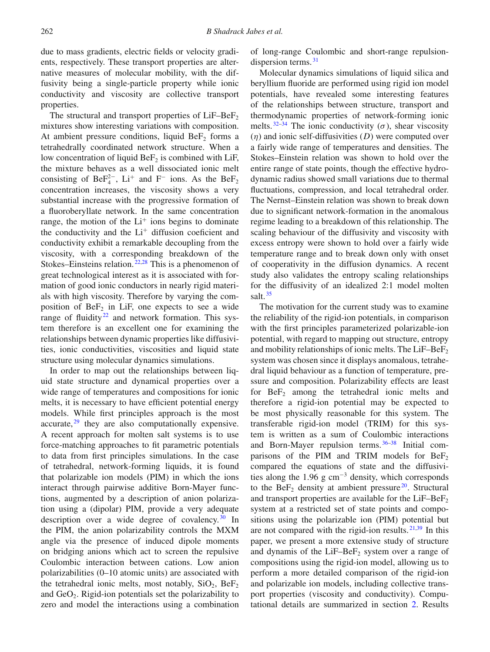due to mass gradients, electric fields or velocity gradients, respectively. These transport properties are alternative measures of molecular mobility, with the diffusivity being a single-particle property while ionic conductivity and viscosity are collective transport properties.

The structural and transport properties of  $LiF-BeF<sub>2</sub>$ mixtures show interesting variations with composition. At ambient pressure conditions, liquid  $BeF<sub>2</sub>$  forms a tetrahedrally coordinated network structure. When a low concentration of liquid  $BeF<sub>2</sub>$  is combined with LiF, the mixture behaves as a well dissociated ionic melt consisting of Be $F_4^{2-}$ , Li<sup>+</sup> and F<sup>-</sup> ions. As the Be $F_2$ concentration increases, the viscosity shows a very substantial increase with the progressive formation of a fluoroberyllate network. In the same concentration range, the motion of the  $Li<sup>+</sup>$  ions begins to dominate the conductivity and the  $Li<sup>+</sup>$  diffusion coeficient and conductivity exhibit a remarkable decoupling from the viscosity, with a corresponding breakdown of the Stokes–Einsteins relation.  $22,28$  $22,28$  This is a phenomenon of great technological interest as it is associated with formation of good ionic conductors in nearly rigid materials with high viscosity. Therefore by varying the composition of  $BeF_2$  in LiF, one expects to see a wide range of fluidity<sup>22</sup> and network formation. This system therefore is an excellent one for examining the relationships between dynamic properties like diffusivities, ionic conductivities, viscosities and liquid state structure using molecular dynamics simulations.

In order to map out the relationships between liquid state structure and dynamical properties over a wide range of temperatures and compositions for ionic melts, it is necessary to have efficient potential energy models. While first principles approach is the most accurate, $2<sup>9</sup>$  they are also computationally expensive. A recent approach for molten salt systems is to use force-matching approaches to fit parametric potentials to data from first principles simulations. In the case of tetrahedral, network-forming liquids, it is found that polarizable ion models (PIM) in which the ions interact through pairwise additive Born-Mayer functions, augmented by a description of anion polarization using a (dipolar) PIM, provide a very adequate description over a wide degree of covalency.  $30 \text{ In}$  $30 \text{ In}$ the PIM, the anion polarizability controls the MXM angle via the presence of induced dipole moments on bridging anions which act to screen the repulsive Coulombic interaction between cations. Low anion polarizabilities (0–10 atomic units) are associated with the tetrahedral ionic melts, most notably,  $SiO<sub>2</sub>$ ,  $BeF<sub>2</sub>$ and  $GeO<sub>2</sub>$ . Rigid-ion potentials set the polarizability to zero and model the interactions using a combination of long-range Coulombic and short-range repulsion-dispersion terms.<sup>[31](#page-8-14)</sup>

Molecular dynamics simulations of liquid silica and beryllium fluoride are performed using rigid ion model potentials, have revealed some interesting features of the relationships between structure, transport and thermodynamic properties of network-forming ionic melts.  $32-34$  $32-34$  The ionic conductivity ( $\sigma$ ), shear viscosity (η) and ionic self-diffusivities (*D*) were computed over a fairly wide range of temperatures and densities. The Stokes–Einstein relation was shown to hold over the entire range of state points, though the effective hydrodynamic radius showed small variations due to thermal fluctuations, compression, and local tetrahedral order. The Nernst–Einstein relation was shown to break down due to significant network-formation in the anomalous regime leading to a breakdown of this relationship. The scaling behaviour of the diffusivity and viscosity with excess entropy were shown to hold over a fairly wide temperature range and to break down only with onset of cooperativity in the diffusion dynamics. A recent study also validates the entropy scaling relationships for the diffusivity of an idealized 2:1 model molten salt.<sup>[35](#page-8-17)</sup>

The motivation for the current study was to examine the reliability of the rigid-ion potentials, in comparison with the first principles parameterized polarizable-ion potential, with regard to mapping out structure, entropy and mobility relationships of ionic melts. The  $LiF-BeF<sub>2</sub>$ system was chosen since it displays anomalous, tetrahedral liquid behaviour as a function of temperature, pressure and composition. Polarizability effects are least for  $BeF_2$  among the tetrahedral ionic melts and therefore a rigid-ion potential may be expected to be most physically reasonable for this system. The transferable rigid-ion model (TRIM) for this system is written as a sum of Coulombic interactions and Born-Mayer repulsion terms. [36](#page-8-18)[–38](#page-8-19) Initial comparisons of the PIM and TRIM models for  $BeF<sub>2</sub>$ compared the equations of state and the diffusivities along the 1.96 g  $cm^{-3}$  density, which corresponds to the  $\text{BeF}_2$  density at ambient pressure<sup>[20](#page-8-20)</sup>. Structural and transport properties are available for the  $LiF-BeF<sub>2</sub>$ system at a restricted set of state points and compositions using the polarizable ion (PIM) potential but are not compared with the rigid-ion results. [21](#page-8-21)[,39](#page-8-22) In this paper, we present a more extensive study of structure and dynamis of the  $LiF-BeF<sub>2</sub>$  system over a range of compositions using the rigid-ion model, allowing us to perform a more detailed comparison of the rigid-ion and polarizable ion models, including collective transport properties (viscosity and conductivity). Computational details are summarized in section [2.](#page-2-0) Results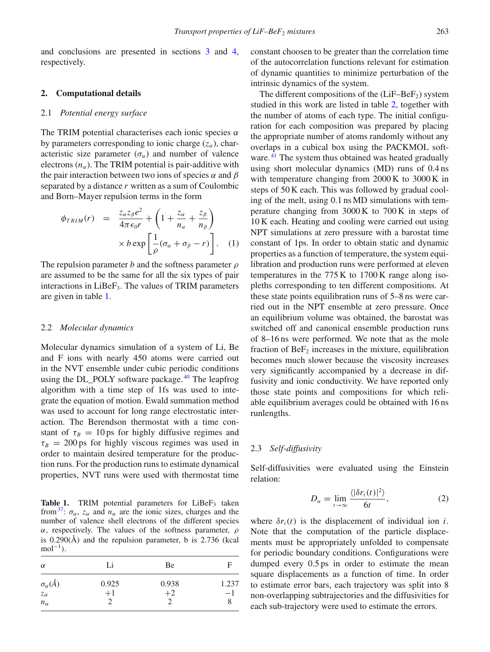and conclusions are presented in sections [3](#page-4-0) and [4,](#page-7-0) respectively.

#### <span id="page-2-0"></span>**2. Computational details**

#### 2.1 *Potential energy surface*

The TRIM potential characterises each ionic species  $\alpha$ by parameters corresponding to ionic charge  $(z_\alpha)$ , characteristic size parameter  $(\sigma_{\alpha})$  and number of valence electrons  $(n_{\alpha})$ . The TRIM potential is pair-additive with the pair interaction between two ions of species  $\alpha$  and  $\beta$ separated by a distance *r* written as a sum of Coulombic and Born–Mayer repulsion terms in the form

$$
\phi_{TRIM}(r) = \frac{z_{\alpha}z_{\beta}e^2}{4\pi\epsilon_0r} + \left(1 + \frac{z_{\alpha}}{n_{\alpha}} + \frac{z_{\beta}}{n_{\beta}}\right) \times b \exp\left[\frac{1}{\rho}(\sigma_{\alpha} + \sigma_{\beta} - r)\right]. \quad (1)
$$

The repulsion parameter *b* and the softness parameter ρ are assumed to be the same for all the six types of pair interactions in  $LiBeF_3$ . The values of TRIM parameters are given in table [1.](#page-2-1)

#### 2.2 *Molecular dynamics*

Molecular dynamics simulation of a system of Li, Be and F ions with nearly 450 atoms were carried out in the NVT ensemble under cubic periodic conditions using the DL\_POLY software package.<sup>[40](#page-8-23)</sup> The leapfrog algorithm with a time step of 1fs was used to integrate the equation of motion. Ewald summation method was used to account for long range electrostatic interaction. The Berendson thermostat with a time constant of  $\tau_B = 10 \text{ ps}$  for highly diffusive regimes and  $\tau_B = 200 \text{ ps}$  for highly viscous regimes was used in order to maintain desired temperature for the production runs. For the production runs to estimate dynamical properties, NVT runs were used with thermostat time

<span id="page-2-1"></span>**Table 1.** TRIM potential parameters for  $LiBeF<sub>3</sub>$  taken from<sup>[37](#page-8-24)</sup>:  $\sigma_{\alpha}$ ,  $z_{\alpha}$  and  $n_{\alpha}$  are the ionic sizes, charges and the number of valence shell electrons of the different species α, respectively. The values of the softness parameter, ρ is 0.290(Å) and the repulsion parameter, b is 2.736 (kcal  $mol^{-1}$ ).

| $\alpha$                                               | Li            | Be            | E           |
|--------------------------------------------------------|---------------|---------------|-------------|
| $\sigma_{\alpha}(\AA)$<br>$z_{\alpha}$<br>$n_{\alpha}$ | 0.925<br>$+1$ | 0.938<br>$+2$ | 1.237<br>—1 |

constant choosen to be greater than the correlation time of the autocorrelation functions relevant for estimation of dynamic quantities to minimize perturbation of the intrinsic dynamics of the system.

The different compositions of the  $(LiF–BeF<sub>2</sub>)$  system studied in this work are listed in table [2,](#page-3-0) together with the number of atoms of each type. The initial configuration for each composition was prepared by placing the appropriate number of atoms randomly without any overlaps in a cubical box using the PACKMOL soft-ware.<sup>[41](#page-8-25)</sup> The system thus obtained was heated gradually using short molecular dynamics (MD) runs of 0.4 ns with temperature changing from 2000 K to 3000 K in steps of 50 K each. This was followed by gradual cooling of the melt, using 0.1 ns MD simulations with temperature changing from 3000 K to 700 K in steps of 10 K each. Heating and cooling were carried out using NPT simulations at zero pressure with a barostat time constant of 1ps. In order to obtain static and dynamic properties as a function of temperature, the system equilibration and production runs were performed at eleven temperatures in the 775 K to 1700 K range along isopleths corresponding to ten different compositions. At these state points equilibration runs of 5–8 ns were carried out in the NPT ensemble at zero pressure. Once an equilibrium volume was obtained, the barostat was switched off and canonical ensemble production runs of 8–16 ns were performed. We note that as the mole fraction of  $BeF_2$  increases in the mixture, equilibration becomes much slower because the viscosity increases very significantly accompanied by a decrease in diffusivity and ionic conductivity. We have reported only those state points and compositions for which reliable equilibrium averages could be obtained with 16 ns runlengths.

# 2.3 *Self-diffusivity*

Self-diffusivities were evaluated using the Einstein relation:

$$
D_{\alpha} = \lim_{t \to \infty} \frac{\langle |\delta r_i(t)|^2 \rangle}{6t}, \tag{2}
$$

where  $\delta r_i(t)$  is the displacement of individual ion *i*. Note that the computation of the particle displacements must be appropriately unfolded to compensate for periodic boundary conditions. Configurations were dumped every 0.5 ps in order to estimate the mean square displacements as a function of time. In order to estimate error bars, each trajectory was split into 8 non-overlapping subtrajectories and the diffusivities for each sub-trajectory were used to estimate the errors.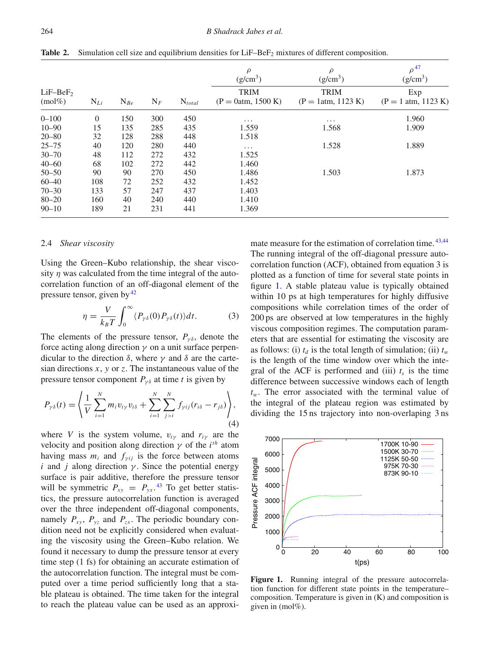|                         |          |          |       |             | $\rho$<br>$(g/cm^3)$                | $\rho$<br>(g/cm <sup>3</sup> )      | $\rho^{47}$<br>$(g/cm^3)$    |
|-------------------------|----------|----------|-------|-------------|-------------------------------------|-------------------------------------|------------------------------|
| $LiF-BeF2$<br>$(mol\%)$ | $N_{Li}$ | $N_{Be}$ | $N_F$ | $N_{total}$ | <b>TRIM</b><br>$(P = 0atm, 1500 K)$ | <b>TRIM</b><br>$(P = 1atm, 1123 K)$ | Exp<br>$(P = 1$ atm, 1123 K) |
| $0 - 100$               | $\theta$ | 150      | 300   | 450         | $\cdots$                            | $\cdots$                            | 1.960                        |
| $10 - 90$               | 15       | 135      | 285   | 435         | 1.559                               | 1.568                               | 1.909                        |
| $20 - 80$               | 32       | 128      | 288   | 448         | 1.518                               |                                     |                              |
| $25 - 75$               | 40       | 120      | 280   | 440         | $\cdots$                            | 1.528                               | 1.889                        |
| $30 - 70$               | 48       | 112      | 272   | 432         | 1.525                               |                                     |                              |
| $40 - 60$               | 68       | 102      | 272   | 442         | 1.460                               |                                     |                              |
| $50 - 50$               | 90       | 90       | 270   | 450         | 1.486                               | 1.503                               | 1.873                        |
| $60 - 40$               | 108      | 72       | 252   | 432         | 1.452                               |                                     |                              |
| $70 - 30$               | 133      | 57       | 247   | 437         | 1.403                               |                                     |                              |
| $80 - 20$               | 160      | 40       | 240   | 440         | 1.410                               |                                     |                              |
| $90 - 10$               | 189      | 21       | 231   | 441         | 1.369                               |                                     |                              |

<span id="page-3-0"></span>**Table 2.** Simulation cell size and equilibrium densities for LiF–BeF<sub>2</sub> mixtures of different composition.

## 2.4 *Shear viscosity*

Using the Green–Kubo relationship, the shear viscosity  $\eta$  was calculated from the time integral of the autocorrelation function of an off-diagonal element of the pressure tensor, given by  $42$ 

$$
\eta = \frac{V}{k_B T} \int_0^\infty \langle P_{\gamma\delta}(0) P_{\gamma\delta}(t) \rangle dt. \tag{3}
$$

The elements of the pressure tensor,  $P_{\gamma\delta}$ , denote the force acting along direction  $\gamma$  on a unit surface perpendicular to the direction δ, where  $\gamma$  and δ are the cartesian directions *x*, *y* or *z*. The instantaneous value of the pressure tensor component  $P_{\gamma\delta}$  at time *t* is given by

$$
P_{\gamma\delta}(t) = \left\langle \frac{1}{V} \sum_{i=1}^{N} m_i v_{i\gamma} v_{i\delta} + \sum_{i=1}^{N} \sum_{j>i}^{N} f_{\gamma i j} (r_{i\delta} - r_{j\delta}) \right\rangle, \tag{4}
$$

where *V* is the system volume,  $v_{i\gamma}$  and  $r_{i\gamma}$  are the velocity and position along direction  $\gamma$  of the *i*<sup>th</sup> atom having mass  $m_i$  and  $f_{\gamma ij}$  is the force between atoms *i* and *j* along direction  $\gamma$ . Since the potential energy surface is pair additive, therefore the pressure tensor will be symmetric  $P_{xy} = P_{yx}$ .<sup>[43](#page-8-28)</sup> To get better statistics, the pressure autocorrelation function is averaged over the three independent off-diagonal components, namely  $P_{xy}$ ,  $P_{yz}$  and  $P_{zx}$ . The periodic boundary condition need not be explicitly considered when evaluating the viscosity using the Green–Kubo relation. We found it necessary to dump the pressure tensor at every time step (1 fs) for obtaining an accurate estimation of the autocorrelation function. The integral must be computed over a time period sufficiently long that a stable plateau is obtained. The time taken for the integral to reach the plateau value can be used as an approximate measure for the estimation of correlation time.  $43,44$  $43,44$ The running integral of the off-diagonal pressure autocorrelation function (ACF), obtained from equation 3 is plotted as a function of time for several state points in figure [1.](#page-3-1) A stable plateau value is typically obtained within 10 ps at high temperatures for highly diffusive compositions while correlation times of the order of 200 ps are observed at low temperatures in the highly viscous composition regimes. The computation parameters that are essential for estimating the viscosity are as follows: (i)  $t_d$  is the total length of simulation; (ii)  $t_w$ is the length of the time window over which the integral of the ACF is performed and (iii)  $t<sub>s</sub>$  is the time difference between successive windows each of length *t*w. The error associated with the terminal value of the integral of the plateau region was estimated by dividing the 15 ns trajectory into non-overlaping 3 ns

<span id="page-3-1"></span>

Figure 1. Running integral of the pressure autocorrelation function for different state points in the temperature– composition. Temperature is given in (K) and composition is given in (mol%).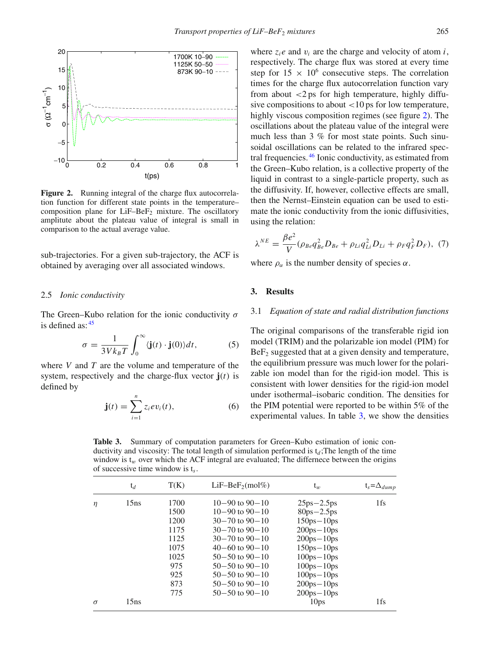<span id="page-4-1"></span>

**Figure 2.** Running integral of the charge flux autocorrelation function for different state points in the temperature– composition plane for  $LiF-BeF<sub>2</sub>$  mixture. The oscillatory amplitute about the plateau value of integral is small in comparison to the actual average value.

sub-trajectories. For a given sub-trajectory, the ACF is obtained by averaging over all associated windows.

#### 2.5 *Ionic conductivity*

The Green–Kubo relation for the ionic conductivity  $\sigma$ is defined as:  $45$ 

$$
\sigma = \frac{1}{3Vk_BT} \int_0^\infty \langle \mathbf{j}(t) \cdot \mathbf{j}(0) \rangle dt, \tag{5}
$$

where *V* and *T* are the volume and temperature of the system, respectively and the charge-flux vector **j**(*t*) is defined by

$$
\mathbf{j}(t) = \sum_{i=1}^{n} z_i e v_i(t), \qquad (6)
$$

where  $z_i e$  and  $v_i$  are the charge and velocity of atom *i*, respectively. The charge flux was stored at every time step for  $15 \times 10^6$  consecutive steps. The correlation times for the charge flux autocorrelation function vary from about  $\langle 2 \rangle$  ps for high temperature, highly diffusive compositions to about  $\langle 10 \text{ ps for low temperature},$ highly viscous composition regimes (see figure [2\)](#page-4-1). The oscillations about the plateau value of the integral were much less than 3 % for most state points. Such sinusoidal oscillations can be related to the infrared spectral frequencies. [46](#page-8-31) Ionic conductivity, as estimated from the Green–Kubo relation, is a collective property of the liquid in contrast to a single-particle property, such as the diffusivity. If, however, collective effects are small, then the Nernst–Einstein equation can be used to estimate the ionic conductivity from the ionic diffusivities, using the relation:

$$
\lambda^{NE} = \frac{\beta e^2}{V} (\rho_{Be} q_{Be}^2 D_{Be} + \rho_{Li} q_{Li}^2 D_{Li} + \rho_{F} q_{F}^2 D_{F}), \tag{7}
$$

where  $\rho_{\alpha}$  is the number density of species  $\alpha$ .

## <span id="page-4-0"></span>**3. Results**

# 3.1 *Equation of state and radial distribution functions*

The original comparisons of the transferable rigid ion model (TRIM) and the polarizable ion model (PIM) for  $BeF<sub>2</sub>$  suggested that at a given density and temperature, the equilibrium pressure was much lower for the polarizable ion model than for the rigid-ion model. This is consistent with lower densities for the rigid-ion model under isothermal–isobaric condition. The densities for the PIM potential were reported to be within 5% of the experimental values. In table [3,](#page-4-2) we show the densities

<span id="page-4-2"></span>**Table 3.** Summary of computation parameters for Green–Kubo estimation of ionic conductivity and viscosity: The total length of simulation performed is  $t_d$ ; The length of the time window is  $t_w$  over which the ACF integral are evaluated; The differnece between the origins of successive time window is t*s*.

|                | $t_d$ | T(K)                   | $LiF-BeF2(mol%)$       | $t_w$          | $t_s = \Delta_{dump}$ |
|----------------|-------|------------------------|------------------------|----------------|-----------------------|
| 15ns<br>$\eta$ |       | 1700                   | $10-90$ to $90-10$     | $25ps - 2.5ps$ | 1fs                   |
|                |       | 1500                   | $10-90$ to $90-10$     | $80ps - 2.5ps$ |                       |
|                | 1200  | $30 - 70$ to $90 - 10$ | $150ps - 10ps$         |                |                       |
|                | 1175  | $30 - 70$ to $90 - 10$ | $200ps - 10ps$         |                |                       |
|                |       | 1125                   | $30 - 70$ to $90 - 10$ | $200ps - 10ps$ |                       |
|                |       | 1075                   | $40-60$ to $90-10$     | $150ps - 10ps$ |                       |
|                |       | 1025                   | $50 - 50$ to $90 - 10$ | $100ps - 10ps$ |                       |
|                | 975   | $50 - 50$ to $90 - 10$ | $100ps - 10ps$         |                |                       |
|                | 925   | $50 - 50$ to $90 - 10$ | $100ps - 10ps$         |                |                       |
|                |       | 873                    | $50 - 50$ to $90 - 10$ | $200ps - 10ps$ |                       |
|                |       | 775                    | $50 - 50$ to $90 - 10$ | $200ps - 10ps$ |                       |
| $\sigma$       | 15ns  |                        |                        | 10ps           | 1fs                   |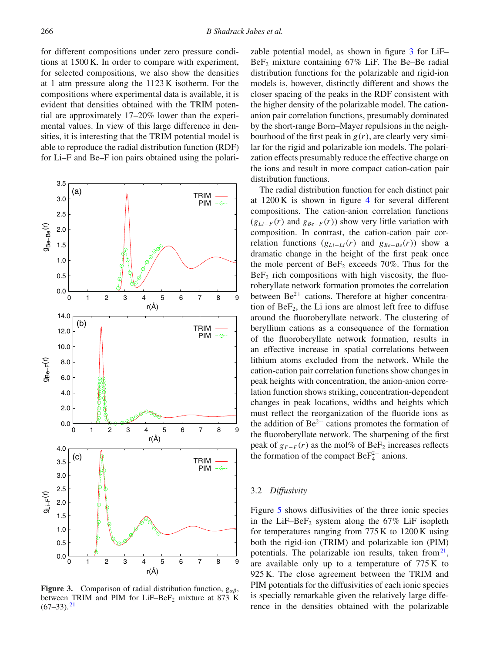for different compositions under zero pressure conditions at 1500 K. In order to compare with experiment, for selected compositions, we also show the densities at 1 atm pressure along the 1123 K isotherm. For the compositions where experimental data is available, it is evident that densities obtained with the TRIM potential are approximately 17–20% lower than the experimental values. In view of this large difference in densities, it is interesting that the TRIM potential model is able to reproduce the radial distribution function (RDF) for Li–F and Be–F ion pairs obtained using the polari-

<span id="page-5-0"></span>

**Figure 3.** Comparison of radial distribution function,  $g_{\alpha\beta}$ between TRIM and PIM for LiF-Be $F_2$  mixture at 873 K  $(67-33).$ <sup>[21](#page-8-21)</sup>

zable potential model, as shown in figure [3](#page-5-0) for LiF–  $BeF<sub>2</sub>$  mixture containing 67% LiF. The Be–Be radial distribution functions for the polarizable and rigid-ion models is, however, distinctly different and shows the closer spacing of the peaks in the RDF consistent with the higher density of the polarizable model. The cationanion pair correlation functions, presumably dominated by the short-range Born–Mayer repulsions in the neighbourhood of the first peak in *g*(*r*), are clearly very similar for the rigid and polarizable ion models. The polarization effects presumably reduce the effective charge on the ions and result in more compact cation-cation pair distribution functions.

The radial distribution function for each distinct pair at 1200 K is shown in figure [4](#page-6-0) for several different compositions. The cation-anion correlation functions  $(g_{Li-F}(r)$  and  $g_{Be-F}(r)$ ) show very little variation with composition. In contrast, the cation-cation pair correlation functions  $(g_{Li-Li}(r)$  and  $g_{Be-Be}(r)$ ) show a dramatic change in the height of the first peak once the mole percent of BeF<sub>2</sub> exceeds  $70\%$ . Thus for the  $BeF<sub>2</sub>$  rich compositions with high viscosity, the fluoroberyllate network formation promotes the correlation between  $Be^{2+}$  cations. Therefore at higher concentration of  $BeF_2$ , the Li ions are almost left free to diffuse around the fluoroberyllate network. The clustering of beryllium cations as a consequence of the formation of the fluoroberyllate network formation, results in an effective increase in spatial correlations between lithium atoms excluded from the network. While the cation-cation pair correlation functions show changes in peak heights with concentration, the anion-anion correlation function shows striking, concentration-dependent changes in peak locations, widths and heights which must reflect the reorganization of the fluoride ions as the addition of  $Be^{2+}$  cations promotes the formation of the fluoroberyllate network. The sharpening of the first peak of  $g_{F-F}(r)$  as the mol% of BeF<sub>2</sub> increases reflects the formation of the compact  $\text{BeF}_4^{2-}$  anions.

## 3.2 *Diffusivity*

Figure [5](#page-6-1) shows diffusivities of the three ionic species in the LiF–Be $F_2$  system along the 67% LiF isopleth for temperatures ranging from 775 K to 1200 K using both the rigid-ion (TRIM) and polarizable ion (PIM) potentials. The polarizable ion results, taken from  $2^1$ , are available only up to a temperature of 775 K to 925 K. The close agreement between the TRIM and PIM potentials for the diffusivities of each ionic species is specially remarkable given the relatively large difference in the densities obtained with the polarizable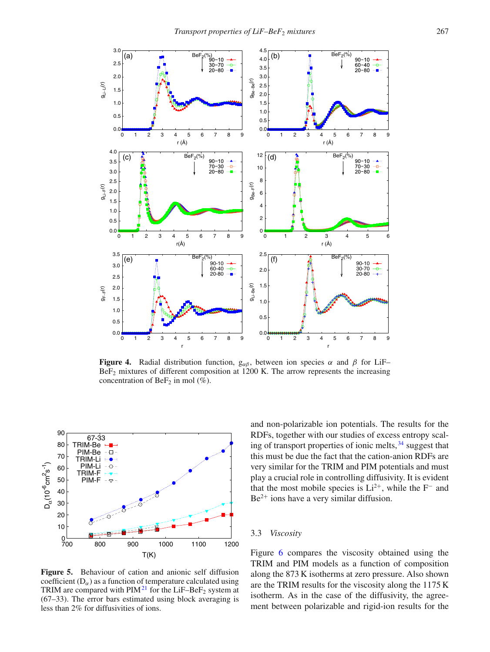<span id="page-6-0"></span>

**Figure 4.** Radial distribution function,  $g_{\alpha\beta}$ , between ion species  $\alpha$  and  $\beta$  for LiF– BeF2 mixtures of different composition at 1200 K. The arrow represents the increasing concentration of BeF<sub>2</sub> in mol  $(\% )$ .

<span id="page-6-1"></span>

**Figure 5.** Behaviour of cation and anionic self diffusion coefficient  $(D_{\alpha})$  as a function of temperature calculated using TRIM are compared with  $PIM<sup>21</sup>$  $PIM<sup>21</sup>$  $PIM<sup>21</sup>$  for the LiF–BeF<sub>2</sub> system at (67–33). The error bars estimated using block averaging is less than 2% for diffusivities of ions.

and non-polarizable ion potentials. The results for the RDFs, together with our studies of excess entropy scaling of transport properties of ionic melts,  $34$  suggest that this must be due the fact that the cation-anion RDFs are very similar for the TRIM and PIM potentials and must play a crucial role in controlling diffusivity. It is evident that the most mobile species is  $Li^{2+}$ , while the F<sup>−</sup> and  $Be<sup>2+</sup>$  ions have a very similar diffusion.

### 3.3 *Viscosity*

Figure [6](#page-7-1) compares the viscosity obtained using the TRIM and PIM models as a function of composition along the 873 K isotherms at zero pressure. Also shown are the TRIM results for the viscosity along the 1175 K isotherm. As in the case of the diffusivity, the agreement between polarizable and rigid-ion results for the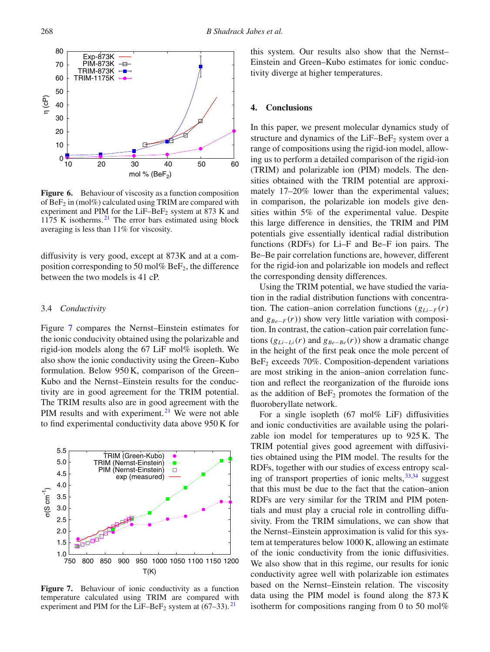<span id="page-7-1"></span>

**Figure 6.** Behaviour of viscosity as a function composition of  $BeF_2$  in (mol%) calculated using TRIM are compared with experiment and PIM for the  $LiF-BeF<sub>2</sub>$  system at 873 K and 1175 K isotherms. $2<sup>1</sup>$  The error bars estimated using block averaging is less than 11% for viscosity.

diffusivity is very good, except at 873K and at a composition corresponding to 50 mol%  $BeF_2$ , the difference between the two models is 41 cP.

## 3.4 *Conductivity*

Figure [7](#page-7-2) compares the Nernst–Einstein estimates for the ionic conducivity obtained using the polarizable and rigid-ion models along the 67 LiF mol% isopleth. We also show the ionic conductivity using the Green–Kubo formulation. Below 950 K, comparison of the Green– Kubo and the Nernst–Einstein results for the conductivity are in good agreement for the TRIM potential. The TRIM results also are in good agreement with the PIM results and with experiment.<sup>[21](#page-8-21)</sup> We were not able to find experimental conductivity data above 950 K for

<span id="page-7-2"></span>

**Figure 7.** Behaviour of ionic conductivity as a function temperature calculated using TRIM are compared with experiment and PIM for the LiF–BeF<sub>2</sub> system at  $(67-33)$ .<sup>[21](#page-8-21)</sup>

this system. Our results also show that the Nernst– Einstein and Green–Kubo estimates for ionic conductivity diverge at higher temperatures.

#### <span id="page-7-0"></span>**4. Conclusions**

In this paper, we present molecular dynamics study of structure and dynamics of the  $LiF-BeF<sub>2</sub>$  system over a range of compositions using the rigid-ion model, allowing us to perform a detailed comparison of the rigid-ion (TRIM) and polarizable ion (PIM) models. The densities obtained with the TRIM potential are approximately 17–20% lower than the experimental values; in comparison, the polarizable ion models give densities within 5% of the experimental value. Despite this large difference in densities, the TRIM and PIM potentials give essentially identical radial distribution functions (RDFs) for Li–F and Be–F ion pairs. The Be–Be pair correlation functions are, however, different for the rigid-ion and polarizable ion models and reflect the corresponding density differences.

Using the TRIM potential, we have studied the variation in the radial distribution functions with concentration. The cation–anion correlation functions  $(g_{Li-F}(r))$ and  $g_{Be-F}(r)$ ) show very little variation with composition. In contrast, the cation–cation pair correlation functions  $(g_{Li–Li}(r)$  and  $g_{Be–Be}(r)$ ) show a dramatic change in the height of the first peak once the mole percent of  $BeF<sub>2</sub>$  exceeds 70%. Composition-dependent variations are most striking in the anion–anion correlation function and reflect the reorganization of the fluroide ions as the addition of  $BeF<sub>2</sub>$  promotes the formation of the fluoroberyllate network.

For a single isopleth (67 mol% LiF) diffusivities and ionic conductivities are available using the polarizable ion model for temperatures up to 925 K. The TRIM potential gives good agreement with diffusivities obtained using the PIM model. The results for the RDFs, together with our studies of excess entropy scaling of transport properties of ionic melts,  $33,34$  $33,34$  suggest that this must be due to the fact that the cation–anion RDFs are very similar for the TRIM and PIM potentials and must play a crucial role in controlling diffusivity. From the TRIM simulations, we can show that the Nernst–Einstein approximation is valid for this system at temperatures below 1000 K, allowing an estimate of the ionic conductivity from the ionic diffusivities. We also show that in this regime, our results for ionic conductivity agree well with polarizable ion estimates based on the Nernst–Einstein relation. The viscosity data using the PIM model is found along the 873 K isotherm for compositions ranging from 0 to 50 mol $%$